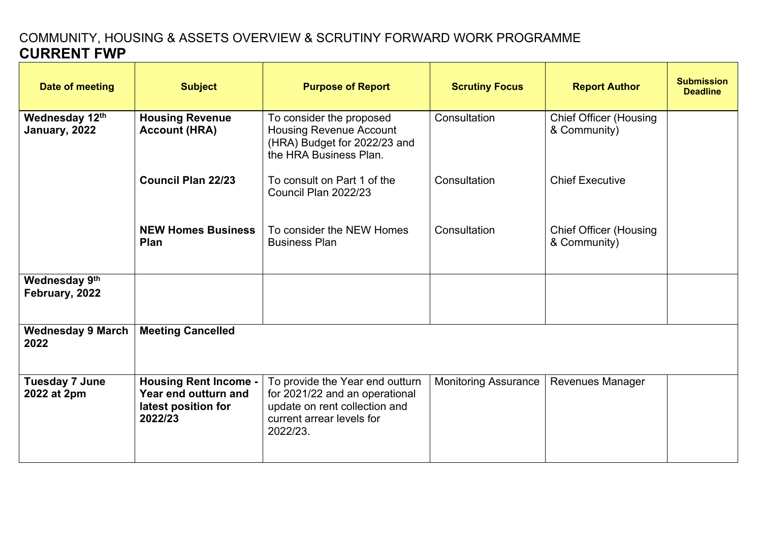## COMMUNITY, HOUSING & ASSETS OVERVIEW & SCRUTINY FORWARD WORK PROGRAMME **CURRENT FWP**

| Date of meeting                      | <b>Subject</b>                                                                         | <b>Purpose of Report</b>                                                                                                                    | <b>Scrutiny Focus</b>       | <b>Report Author</b>                          | <b>Submission</b><br><b>Deadline</b> |
|--------------------------------------|----------------------------------------------------------------------------------------|---------------------------------------------------------------------------------------------------------------------------------------------|-----------------------------|-----------------------------------------------|--------------------------------------|
| Wednesday 12th<br>January, 2022      | <b>Housing Revenue</b><br><b>Account (HRA)</b>                                         | To consider the proposed<br><b>Housing Revenue Account</b><br>(HRA) Budget for 2022/23 and<br>the HRA Business Plan.                        | Consultation                | <b>Chief Officer (Housing</b><br>& Community) |                                      |
|                                      | <b>Council Plan 22/23</b>                                                              | To consult on Part 1 of the<br>Council Plan 2022/23                                                                                         | Consultation                | <b>Chief Executive</b>                        |                                      |
|                                      | <b>NEW Homes Business</b><br>Plan                                                      | To consider the NEW Homes<br><b>Business Plan</b>                                                                                           | Consultation                | <b>Chief Officer (Housing</b><br>& Community) |                                      |
| Wednesday 9th<br>February, 2022      |                                                                                        |                                                                                                                                             |                             |                                               |                                      |
| <b>Wednesday 9 March</b><br>2022     | <b>Meeting Cancelled</b>                                                               |                                                                                                                                             |                             |                                               |                                      |
| <b>Tuesday 7 June</b><br>2022 at 2pm | <b>Housing Rent Income -</b><br>Year end outturn and<br>latest position for<br>2022/23 | To provide the Year end outturn<br>for 2021/22 and an operational<br>update on rent collection and<br>current arrear levels for<br>2022/23. | <b>Monitoring Assurance</b> | <b>Revenues Manager</b>                       |                                      |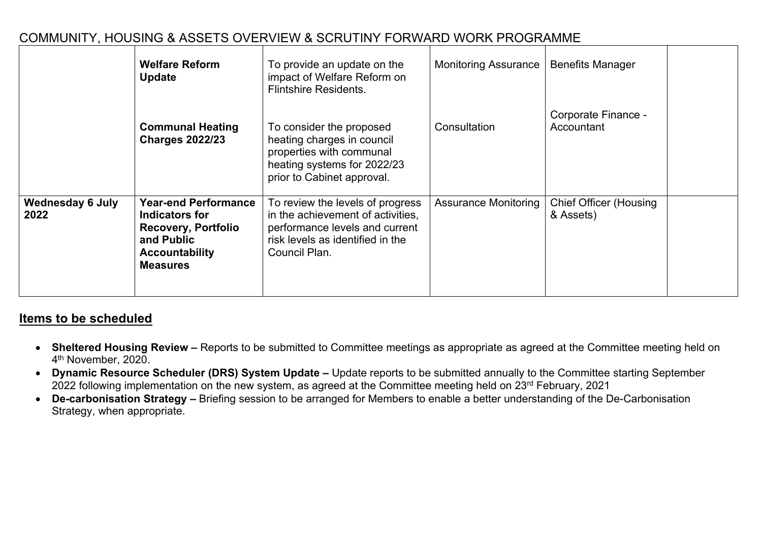|                                 | <b>Welfare Reform</b><br><b>Update</b>                                                                                                | To provide an update on the<br>impact of Welfare Reform on<br><b>Flintshire Residents.</b>                                                                   | <b>Monitoring Assurance</b> | <b>Benefits Manager</b>                    |
|---------------------------------|---------------------------------------------------------------------------------------------------------------------------------------|--------------------------------------------------------------------------------------------------------------------------------------------------------------|-----------------------------|--------------------------------------------|
|                                 | <b>Communal Heating</b><br><b>Charges 2022/23</b>                                                                                     | To consider the proposed<br>heating charges in council<br>properties with communal<br>heating systems for 2022/23<br>prior to Cabinet approval.              | Consultation                | Corporate Finance -<br>Accountant          |
| <b>Wednesday 6 July</b><br>2022 | <b>Year-end Performance</b><br>Indicators for<br><b>Recovery, Portfolio</b><br>and Public<br><b>Accountability</b><br><b>Measures</b> | To review the levels of progress<br>in the achievement of activities,<br>performance levels and current<br>risk levels as identified in the<br>Council Plan. | <b>Assurance Monitoring</b> | <b>Chief Officer (Housing</b><br>& Assets) |

## COMMUNITY, HOUSING & ASSETS OVERVIEW & SCRUTINY FORWARD WORK PROGRAMME

## **Items to be scheduled**

- **Sheltered Housing Review –** Reports to be submitted to Committee meetings as appropriate as agreed at the Committee meeting held on 4 th November, 2020.
- **Dynamic Resource Scheduler (DRS) System Update –** Update reports to be submitted annually to the Committee starting September 2022 following implementation on the new system, as agreed at the Committee meeting held on 23rd February, 2021
- **De-carbonisation Strategy –** Briefing session to be arranged for Members to enable a better understanding of the De-Carbonisation Strategy, when appropriate.